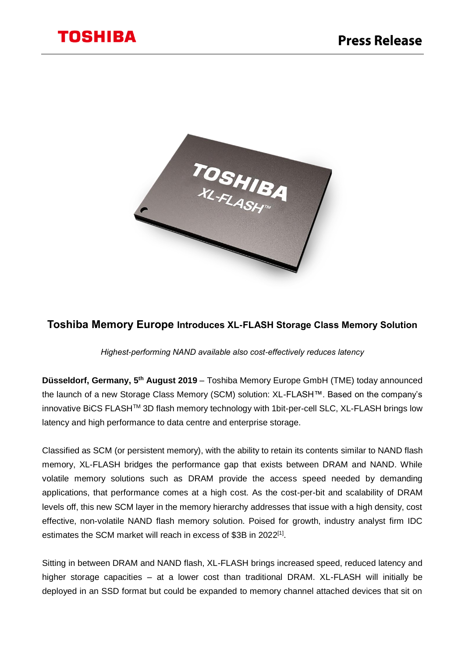

# **Toshiba Memory Europe Introduces XL-FLASH Storage Class Memory Solution**

*Highest-performing NAND available also cost-effectively reduces latency*

Düsseldorf, Germany, 5<sup>th</sup> August 2019 - Toshiba Memory Europe GmbH (TME) today announced the launch of a new Storage Class Memory (SCM) solution: XL-FLASH™. Based on the company's innovative BiCS FLASHTM 3D flash memory technology with 1bit-per-cell SLC, XL-FLASH brings low latency and high performance to data centre and enterprise storage.

Classified as SCM (or persistent memory), with the ability to retain its contents similar to NAND flash memory, XL-FLASH bridges the performance gap that exists between DRAM and NAND. While volatile memory solutions such as DRAM provide the access speed needed by demanding applications, that performance comes at a high cost. As the cost-per-bit and scalability of DRAM levels off, this new SCM layer in the memory hierarchy addresses that issue with a high density, cost effective, non-volatile NAND flash memory solution. Poised for growth, industry analyst firm IDC estimates the SCM market will reach in excess of \$3B in 2022<sup>[1]</sup>.

Sitting in between DRAM and NAND flash, XL-FLASH brings increased speed, reduced latency and higher storage capacities – at a lower cost than traditional DRAM. XL-FLASH will initially be deployed in an SSD format but could be expanded to memory channel attached devices that sit on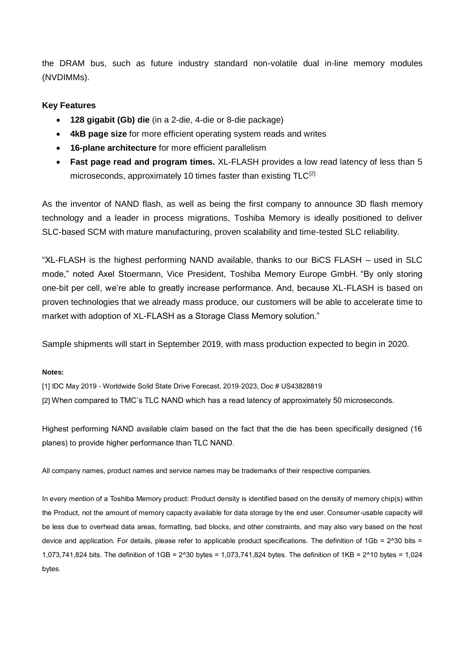the DRAM bus, such as future industry standard non-volatile dual in-line memory modules (NVDIMMs).

# **Key Features**

- **128 gigabit (Gb) die** (in a 2-die, 4-die or 8-die package)
- **4kB page size** for more efficient operating system reads and writes
- **16-plane architecture** for more efficient parallelism
- **Fast page read and program times.** XL-FLASH provides a low read latency of less than 5 microseconds, approximately 10 times faster than existing TLC<sup>[2]</sup>

As the inventor of NAND flash, as well as being the first company to announce 3D flash memory technology and a leader in process migrations, Toshiba Memory is ideally positioned to deliver SLC-based SCM with mature manufacturing, proven scalability and time-tested SLC reliability.

"XL-FLASH is the highest performing NAND available, thanks to our BiCS FLASH – used in SLC mode," noted Axel Stoermann, Vice President, Toshiba Memory Europe GmbH. "By only storing one-bit per cell, we're able to greatly increase performance. And, because XL-FLASH is based on proven technologies that we already mass produce, our customers will be able to accelerate time to market with adoption of XL-FLASH as a Storage Class Memory solution."

Sample shipments will start in September 2019, with mass production expected to begin in 2020.

# **Notes:**

[1] IDC May 2019 - Worldwide Solid State Drive Forecast, 2019-2023, Doc # US43828819

[2] When compared to TMC's TLC NAND which has a read latency of approximately 50 microseconds.

Highest performing NAND available claim based on the fact that the die has been specifically designed (16 planes) to provide higher performance than TLC NAND.

All company names, product names and service names may be trademarks of their respective companies.

In every mention of a Toshiba Memory product: Product density is identified based on the density of memory chip(s) within the Product, not the amount of memory capacity available for data storage by the end user. Consumer-usable capacity will be less due to overhead data areas, formatting, bad blocks, and other constraints, and may also vary based on the host device and application. For details, please refer to applicable product specifications. The definition of  $1Gb = 2^030$  bits = 1,073,741,824 bits. The definition of 1GB = 2^30 bytes = 1,073,741,824 bytes. The definition of 1KB = 2^10 bytes = 1,024 bytes.